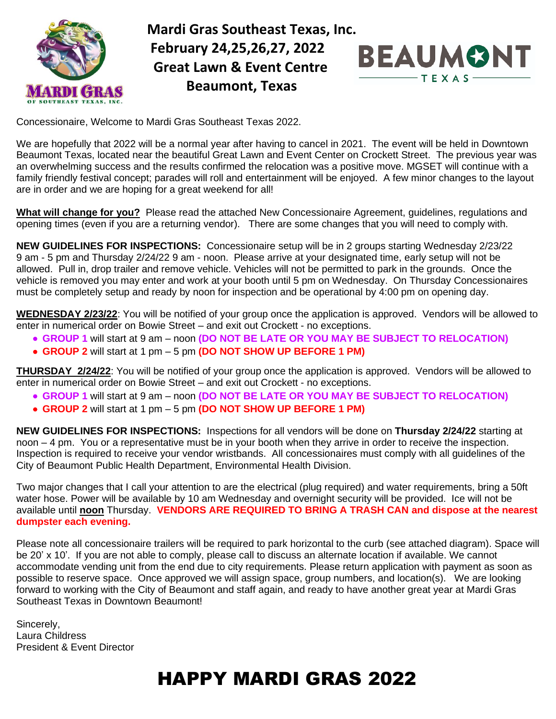

 **Mardi Gras Southeast Texas, Inc. February 24,25,26,27, 2022 Great Lawn & Event Centre Beaumont, Texas** 



Concessionaire, Welcome to Mardi Gras Southeast Texas 2022.

We are hopefully that 2022 will be a normal year after having to cancel in 2021. The event will be held in Downtown Beaumont Texas, located near the beautiful Great Lawn and Event Center on Crockett Street. The previous year was an overwhelming success and the results confirmed the relocation was a positive move. MGSET will continue with a family friendly festival concept; parades will roll and entertainment will be enjoyed. A few minor changes to the layout are in order and we are hoping for a great weekend for all!

**What will change for you?** Please read the attached New Concessionaire Agreement, guidelines, regulations and opening times (even if you are a returning vendor). There are some changes that you will need to comply with.

**NEW GUIDELINES FOR INSPECTIONS:** Concessionaire setup will be in 2 groups starting Wednesday 2/23/22 9 am - 5 pm and Thursday 2/24/22 9 am - noon. Please arrive at your designated time, early setup will not be allowed. Pull in, drop trailer and remove vehicle. Vehicles will not be permitted to park in the grounds. Once the vehicle is removed you may enter and work at your booth until 5 pm on Wednesday. On Thursday Concessionaires must be completely setup and ready by noon for inspection and be operational by 4:00 pm on opening day.

**WEDNESDAY 2/23/22**: You will be notified of your group once the application is approved. Vendors will be allowed to enter in numerical order on Bowie Street – and exit out Crockett - no exceptions.

- **GROUP 1** will start at 9 am noon **(DO NOT BE LATE OR YOU MAY BE SUBJECT TO RELOCATION)**
- **GROUP 2** will start at 1 pm 5 pm **(DO NOT SHOW UP BEFORE 1 PM)**

**THURSDAY 2/24/22**: You will be notified of your group once the application is approved. Vendors will be allowed to enter in numerical order on Bowie Street – and exit out Crockett - no exceptions.

- **GROUP 1** will start at 9 am noon **(DO NOT BE LATE OR YOU MAY BE SUBJECT TO RELOCATION)**
- **GROUP 2** will start at 1 pm 5 pm **(DO NOT SHOW UP BEFORE 1 PM)**

**NEW GUIDELINES FOR INSPECTIONS:** Inspections for all vendors will be done on **Thursday 2/24/22** starting at noon – 4 pm. You or a representative must be in your booth when they arrive in order to receive the inspection. Inspection is required to receive your vendor wristbands. All concessionaires must comply with all guidelines of the City of Beaumont Public Health Department, Environmental Health Division.

Two major changes that I call your attention to are the electrical (plug required) and water requirements, bring a 50ft water hose. Power will be available by 10 am Wednesday and overnight security will be provided. Ice will not be available until **noon** Thursday. **VENDORS ARE REQUIRED TO BRING A TRASH CAN and dispose at the nearest dumpster each evening.**

Please note all concessionaire trailers will be required to park horizontal to the curb (see attached diagram). Space will be 20' x 10'. If you are not able to comply, please call to discuss an alternate location if available. We cannot accommodate vending unit from the end due to city requirements. Please return application with payment as soon as possible to reserve space. Once approved we will assign space, group numbers, and location(s). We are looking forward to working with the City of Beaumont and staff again, and ready to have another great year at Mardi Gras Southeast Texas in Downtown Beaumont!

Sincerely, Laura Childress President & Event Director

# **HAPPY MARDI GRAS 2022**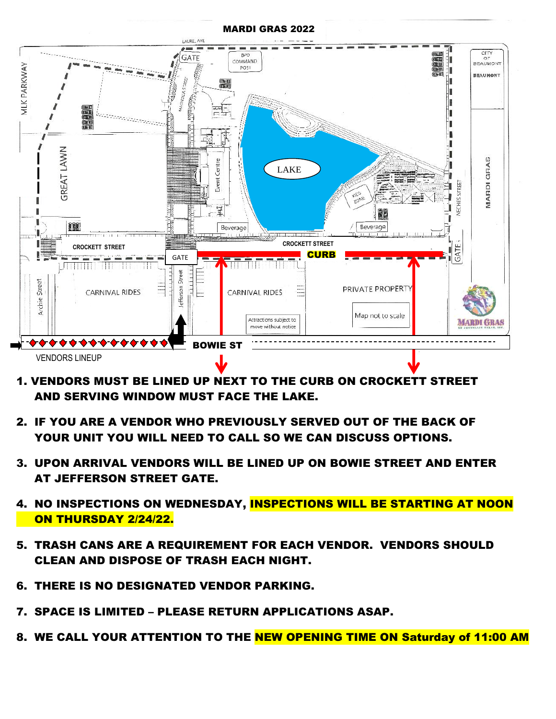#### MARDI GRAS 2022



- 1. VENDORS MUST BE LINED UP NEXT TO THE CURB ON CROCKETT STREET AND SERVING WINDOW MUST FACE THE LAKE.
- 2. IF YOU ARE A VENDOR WHO PREVIOUSLY SERVED OUT OF THE BACK OF YOUR UNIT YOU WILL NEED TO CALL SO WE CAN DISCUSS OPTIONS.
- 3. UPON ARRIVAL VENDORS WILL BE LINED UP ON BOWIE STREET AND ENTER AT JEFFERSON STREET GATE.
- 4. NO INSPECTIONS ON WEDNESDAY, INSPECTIONS WILL BE STARTING AT NOON ON THURSDAY 2/24/22.
- 5. TRASH CANS ARE A REQUIREMENT FOR EACH VENDOR. VENDORS SHOULD CLEAN AND DISPOSE OF TRASH EACH NIGHT.
- 6. THERE IS NO DESIGNATED VENDOR PARKING.
- 7. SPACE IS LIMITED PLEASE RETURN APPLICATIONS ASAP.
- 8. WE CALL YOUR ATTENTION TO THE NEW OPENING TIME ON Saturday of 11:00 AM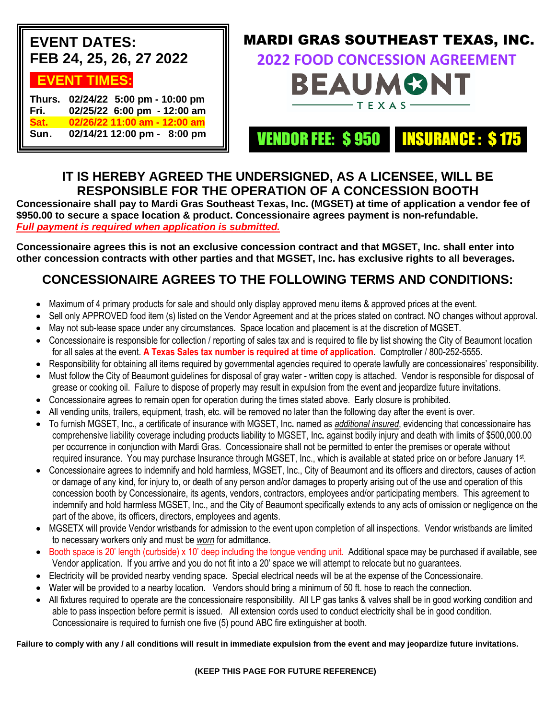| <b>EVENT DATES:</b><br>FEB 24, 25, 26, 27 2022                                                                                           | <b>MARDI GRAS SOUTHEAST TEXAS, INC.</b><br><b>2022 FOOD CONCESSION AGREEMENT</b>                                                                                                                                                                                                                                                                                                                                                                   |  |
|------------------------------------------------------------------------------------------------------------------------------------------|----------------------------------------------------------------------------------------------------------------------------------------------------------------------------------------------------------------------------------------------------------------------------------------------------------------------------------------------------------------------------------------------------------------------------------------------------|--|
| <b>EVENT TIMES:</b><br>Thurs. 02/24/22 5:00 pm - 10:00 pm<br>02/25/22 6:00 pm - 12:00 am<br>Fri.<br>Sat.<br>02/26/22 11:00 am - 12:00 am | <b>BEAUMONT</b><br>$\frac{1}{\sqrt{1-\frac{1}{2}}}\frac{1}{\sqrt{1-\frac{1}{2}}}\frac{1}{\sqrt{1-\frac{1}{2}}}\frac{1}{\sqrt{1-\frac{1}{2}}}\frac{1}{\sqrt{1-\frac{1}{2}}}\frac{1}{\sqrt{1-\frac{1}{2}}}\frac{1}{\sqrt{1-\frac{1}{2}}}\frac{1}{\sqrt{1-\frac{1}{2}}}\frac{1}{\sqrt{1-\frac{1}{2}}}\frac{1}{\sqrt{1-\frac{1}{2}}}\frac{1}{\sqrt{1-\frac{1}{2}}}\frac{1}{\sqrt{1-\frac{1}{2}}}\frac{1}{\sqrt{1-\frac{1}{2}}}\frac{1}{\sqrt{1-\frac{$ |  |
| Sun.<br>02/14/21 12:00 pm - 8:00 pm                                                                                                      | <b>VENDOR FEE: \$950 MSURANCE: \$175</b>                                                                                                                                                                                                                                                                                                                                                                                                           |  |

## **IT IS HEREBY AGREED THE UNDERSIGNED, AS A LICENSEE, WILL BE RESPONSIBLE FOR THE OPERATION OF A CONCESSION BOOTH**

**Concessionaire shall pay to Mardi Gras Southeast Texas, Inc. (MGSET) at time of application a vendor fee of \$950.00 to secure a space location & product. Concessionaire agrees payment is non-refundable.** *Full payment is required when application is submitted.*

**Concessionaire agrees this is not an exclusive concession contract and that MGSET, Inc. shall enter into other concession contracts with other parties and that MGSET, Inc. has exclusive rights to all beverages.**

## **CONCESSIONAIRE AGREES TO THE FOLLOWING TERMS AND CONDITIONS:**

- Maximum of 4 primary products for sale and should only display approved menu items & approved prices at the event.
- Sell only APPROVED food item (s) listed on the Vendor Agreement and at the prices stated on contract. NO changes without approval.
- May not sub-lease space under any circumstances. Space location and placement is at the discretion of MGSET.
- Concessionaire is responsible for collection / reporting of sales tax and is required to file by list showing the City of Beaumont location for all sales at the event. **A Texas Sales tax number is required at time of application**. Comptroller / 800-252-5555.
- Responsibility for obtaining all items required by governmental agencies required to operate lawfully are concessionaires' responsibility.
- Must follow the City of Beaumont guidelines for disposal of gray water written copy is attached. Vendor is responsible for disposal of grease or cooking oil. Failure to dispose of properly may result in expulsion from the event and jeopardize future invitations.
- Concessionaire agrees to remain open for operation during the times stated above. Early closure is prohibited.
- All vending units, trailers, equipment, trash, etc. will be removed no later than the following day after the event is over.
- To furnish MGSET, Inc**.**, a certificate of insurance with MGSET, Inc**.** named as *additional insured*, evidencing that concessionaire has comprehensive liability coverage including products liability to MGSET, Inc**.** against bodily injury and death with limits of \$500,000.00 per occurrence in conjunction with Mardi Gras. Concessionaire shall not be permitted to enter the premises or operate without required insurance. You may purchase Insurance through MGSET, Inc., which is available at stated price on or before January 1st.
- Concessionaire agrees to indemnify and hold harmless, MGSET, Inc., City of Beaumont and its officers and directors, causes of action or damage of any kind, for injury to, or death of any person and/or damages to property arising out of the use and operation of this concession booth by Concessionaire, its agents, vendors, contractors, employees and/or participating members. This agreement to indemnify and hold harmless MGSET, Inc., and the City of Beaumont specifically extends to any acts of omission or negligence on the part of the above, its officers, directors, employees and agents.
- MGSETX will provide Vendor wristbands for admission to the event upon completion of all inspections. Vendor wristbands are limited to necessary workers only and must be *worn* for admittance.
- Booth space is 20' length (curbside) x 10' deep including the tongue vending unit. Additional space may be purchased if available, see Vendor application. If you arrive and you do not fit into a 20' space we will attempt to relocate but no guarantees.
- Electricity will be provided nearby vending space. Special electrical needs will be at the expense of the Concessionaire.
- Water will be provided to a nearby location. Vendors should bring a minimum of 50 ft. hose to reach the connection.
- All fixtures required to operate are the concessionaire responsibility. All LP gas tanks & valves shall be in good working condition and able to pass inspection before permit is issued. All extension cords used to conduct electricity shall be in good condition. Concessionaire is required to furnish one five (5) pound ABC fire extinguisher at booth.

**Failure to comply with any / all conditions will result in immediate expulsion from the event and may jeopardize future invitations.**

#### **(KEEP THIS PAGE FOR FUTURE REFERENCE)**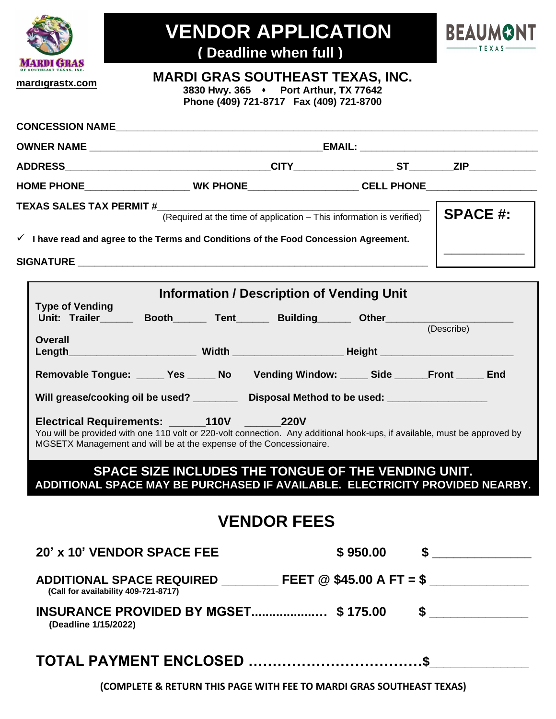

# **VENDOR APPLICATION**



**( Deadline when full )**

### **MARDI GRAS SOUTHEAST TEXAS, INC.**

**3830 Hwy. 365** ⬧ **Port Arthur, TX 77642 Phone (409) 721-8717 Fax (409) 721-8700**

| CONCESSION NAME                                                                                                                                                                                                               |                                                                                                      |                    |  |  |  |  |
|-------------------------------------------------------------------------------------------------------------------------------------------------------------------------------------------------------------------------------|------------------------------------------------------------------------------------------------------|--------------------|--|--|--|--|
|                                                                                                                                                                                                                               |                                                                                                      |                    |  |  |  |  |
|                                                                                                                                                                                                                               |                                                                                                      | <b>CITY</b> ST ZIP |  |  |  |  |
|                                                                                                                                                                                                                               | HOME PHONE___________________________WK PHONE_______________________CELL PHONE______________________ |                    |  |  |  |  |
| <b>TEXAS SALES TAX PERMIT #</b><br>$\checkmark$ I have read and agree to the Terms and Conditions of the Food Concession Agreement.                                                                                           | <b>SPACE #:</b>                                                                                      |                    |  |  |  |  |
| SIGNATURE And the state of the state of the state of the state of the state of the state of the state of the state of the state of the state of the state of the state of the state of the state of the state of the state of |                                                                                                      |                    |  |  |  |  |
| <b>Information / Description of Vending Unit</b>                                                                                                                                                                              |                                                                                                      |                    |  |  |  |  |

| <b>Type of Vending</b><br>Unit: Trailer_______ Booth_______ Tent_______ Building______ Other______________                                                                                       |  |  |  |          |            |  |  |  |
|--------------------------------------------------------------------------------------------------------------------------------------------------------------------------------------------------|--|--|--|----------|------------|--|--|--|
|                                                                                                                                                                                                  |  |  |  |          | (Describe) |  |  |  |
| <b>Overall</b><br>Length_____________________________Width _________________________Height __________________________                                                                            |  |  |  |          |            |  |  |  |
| Removable Tongue: _____ Yes _____ No Vending Window: _____ Side ______Front _____ End                                                                                                            |  |  |  |          |            |  |  |  |
| Will grease/cooking oil be used? __________ Disposal Method to be used: _______________                                                                                                          |  |  |  |          |            |  |  |  |
| You will be provided with one 110 volt or 220-volt connection. Any additional hook-ups, if available, must be approved by<br>MGSETX Management and will be at the expense of the Concessionaire. |  |  |  |          |            |  |  |  |
| SPACE SIZE INCLUDES THE TONGUE OF THE VENDING UNIT.<br>ADDITIONAL SPACE MAY BE PURCHASED IF AVAILABLE. ELECTRICITY PROVIDED NEARBY.                                                              |  |  |  |          |            |  |  |  |
| <b>VENDOR FEES</b>                                                                                                                                                                               |  |  |  |          |            |  |  |  |
| 20' x 10' VENDOR SPACE FEE                                                                                                                                                                       |  |  |  | \$950.00 | $\sim$     |  |  |  |

**ADDITIONAL SPACE REQUIRED \_\_\_\_\_\_\_\_ FEET @ \$45.00 A FT = \$ \_\_\_\_\_\_\_\_\_\_\_\_\_\_ (Call for availability 409-721-8717)**

**INSURANCE PROVIDED BY MGSET..................… \$ 175.00 \$ \_\_\_\_\_\_\_\_\_\_\_\_\_\_ (Deadline 1/15/2022)**

## **TOTAL PAYMENT ENCLOSED ………………………………\$\_\_\_\_\_\_\_\_\_\_\_\_\_\_**

**(COMPLETE & RETURN THIS PAGE WITH FEE TO MARDI GRAS SOUTHEAST TEXAS)**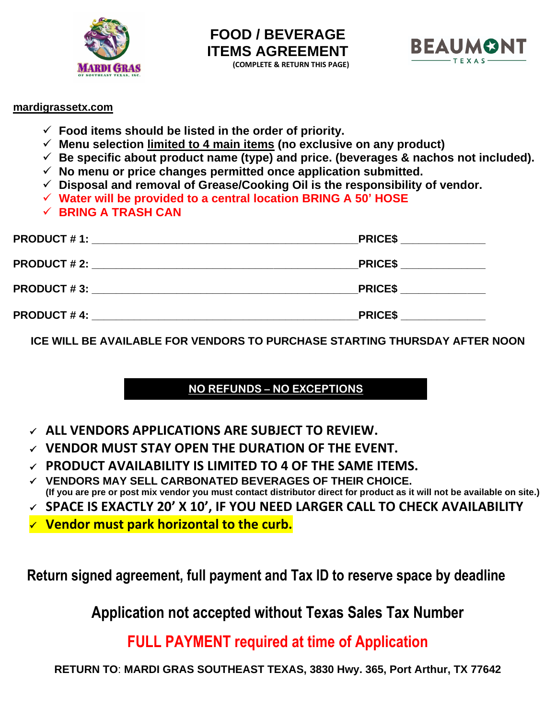



### **mardigrassetx.com**

- ✓ **Food items should be listed in the order of priority.**
- ✓ **Menu selection limited to 4 main items (no exclusive on any product)**
- $\checkmark$  Be specific about product name (type) and price. (beverages & nachos not included).
- ✓ **No menu or price changes permitted once application submitted.**
- ✓ **Disposal and removal of Grease/Cooking Oil is the responsibility of vendor.**
- ✓ **Water will be provided to a central location BRING A 50' HOSE**
- ✓ **BRING A TRASH CAN**

| <b>PRODUCT # 1:</b> | <b>PRICES</b> |
|---------------------|---------------|
| <b>PRODUCT # 2:</b> | <b>PRICES</b> |
| <b>PRODUCT #3:</b>  | <b>PRICES</b> |
| <b>PRODUCT #4:</b>  | <b>PRICES</b> |

**ICE WILL BE AVAILABLE FOR VENDORS TO PURCHASE STARTING THURSDAY AFTER NOON**

## **NO REFUNDS – NO EXCEPTIONS**

- ✓ **ALL VENDORS APPLICATIONS ARE SUBJECT TO REVIEW.**
- ✓ **VENDOR MUST STAY OPEN THE DURATION OF THE EVENT.**
- ✓ **PRODUCT AVAILABILITY IS LIMITED TO 4 OF THE SAME ITEMS.**
- ✓ **VENDORS MAY SELL CARBONATED BEVERAGES OF THEIR CHOICE. (If you are pre or post mix vendor you must contact distributor direct for product as it will not be available on site.)**
- ✓ **SPACE IS EXACTLY 20' X 10', IF YOU NEED LARGER CALL TO CHECK AVAILABILITY**
- ✓ **Vendor must park horizontal to the curb.**

 **Return signed agreement, full payment and Tax ID to reserve space by deadline** 

**Application not accepted without Texas Sales Tax Number**

**FULL PAYMENT required at time of Application**

**RETURN TO**: **MARDI GRAS SOUTHEAST TEXAS, 3830 Hwy. 365, Port Arthur, TX 77642**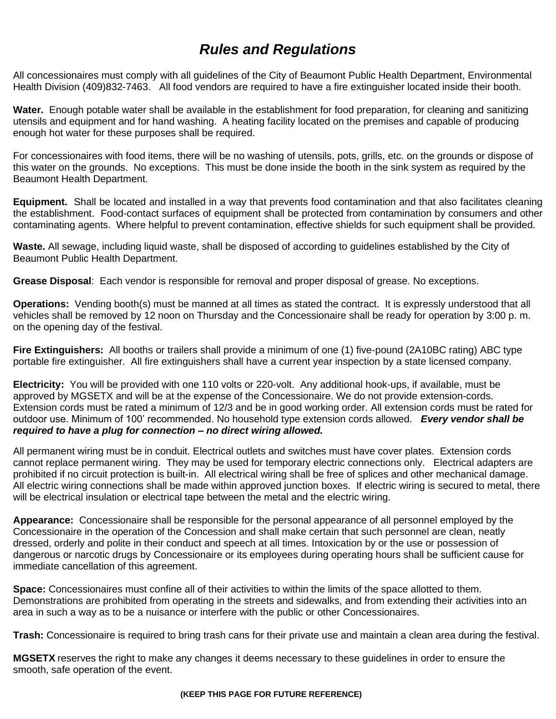## *Rules and Regulations*

All concessionaires must comply with all guidelines of the City of Beaumont Public Health Department, Environmental Health Division (409)832-7463. All food vendors are required to have a fire extinguisher located inside their booth.

**Water.** Enough potable water shall be available in the establishment for food preparation, for cleaning and sanitizing utensils and equipment and for hand washing. A heating facility located on the premises and capable of producing enough hot water for these purposes shall be required.

For concessionaires with food items, there will be no washing of utensils, pots, grills, etc. on the grounds or dispose of this water on the grounds. No exceptions. This must be done inside the booth in the sink system as required by the Beaumont Health Department.

**Equipment.** Shall be located and installed in a way that prevents food contamination and that also facilitates cleaning the establishment. Food-contact surfaces of equipment shall be protected from contamination by consumers and other contaminating agents. Where helpful to prevent contamination, effective shields for such equipment shall be provided.

**Waste.** All sewage, including liquid waste, shall be disposed of according to guidelines established by the City of Beaumont Public Health Department.

**Grease Disposal**: Each vendor is responsible for removal and proper disposal of grease. No exceptions.

**Operations:** Vending booth(s) must be manned at all times as stated the contract. It is expressly understood that all vehicles shall be removed by 12 noon on Thursday and the Concessionaire shall be ready for operation by 3:00 p. m. on the opening day of the festival.

**Fire Extinguishers:** All booths or trailers shall provide a minimum of one (1) five-pound (2A10BC rating) ABC type portable fire extinguisher. All fire extinguishers shall have a current year inspection by a state licensed company.

**Electricity:** You will be provided with one 110 volts or 220-volt. Any additional hook-ups, if available, must be approved by MGSETX and will be at the expense of the Concessionaire. We do not provide extension-cords. Extension cords must be rated a minimum of 12/3 and be in good working order. All extension cords must be rated for outdoor use. Minimum of 100' recommended. No household type extension cords allowed. *Every vendor shall be required to have a plug for connection – no direct wiring allowed.* 

All permanent wiring must be in conduit. Electrical outlets and switches must have cover plates. Extension cords cannot replace permanent wiring. They may be used for temporary electric connections only. Electrical adapters are prohibited if no circuit protection is built-in. All electrical wiring shall be free of splices and other mechanical damage. All electric wiring connections shall be made within approved junction boxes. If electric wiring is secured to metal, there will be electrical insulation or electrical tape between the metal and the electric wiring.

**Appearance:** Concessionaire shall be responsible for the personal appearance of all personnel employed by the Concessionaire in the operation of the Concession and shall make certain that such personnel are clean, neatly dressed, orderly and polite in their conduct and speech at all times. Intoxication by or the use or possession of dangerous or narcotic drugs by Concessionaire or its employees during operating hours shall be sufficient cause for immediate cancellation of this agreement.

**Space:** Concessionaires must confine all of their activities to within the limits of the space allotted to them. Demonstrations are prohibited from operating in the streets and sidewalks, and from extending their activities into an area in such a way as to be a nuisance or interfere with the public or other Concessionaires.

**Trash:** Concessionaire is required to bring trash cans for their private use and maintain a clean area during the festival.

**MGSETX** reserves the right to make any changes it deems necessary to these guidelines in order to ensure the smooth, safe operation of the event.

**(KEEP THIS PAGE FOR FUTURE REFERENCE)**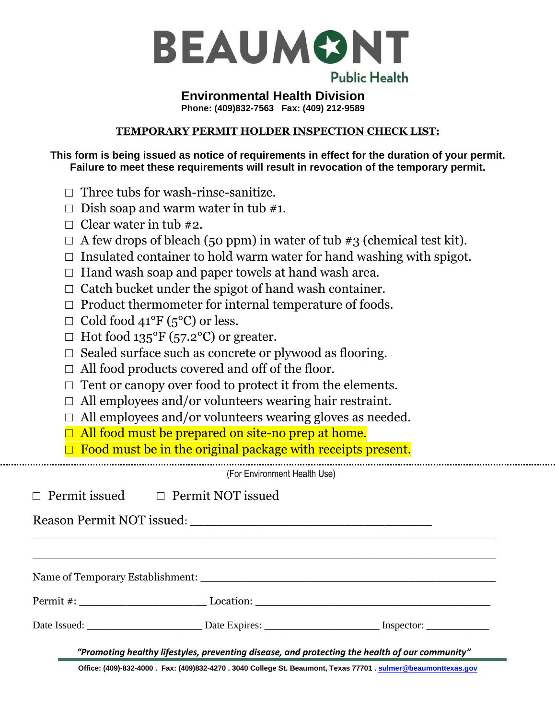

### **Environmental Health Division Phone: (409)832-7563 Fax: (409) 212-9589**

#### **TEMPORARY PERMIT HOLDER INSPECTION CHECK LIST:**

**This form is being issued as notice of requirements in effect for the duration of your permit. Failure to meet these requirements will result in revocation of the temporary permit.**

- $\Box$  Three tubs for wash-rinse-sanitize.
- $\Box$  Dish soap and warm water in tub #1.
- $\Box$  Clear water in tub #2.
- $\Box$  A few drops of bleach (50 ppm) in water of tub #3 (chemical test kit).
- $\Box$  Insulated container to hold warm water for hand washing with spigot.
- $\Box$  Hand wash soap and paper towels at hand wash area.
- $\Box$  Catch bucket under the spigot of hand wash container.
- $\Box$  Product thermometer for internal temperature of foods.
- $\Box$  Cold food 41°F (5°C) or less.
- $\Box$  Hot food 135°F (57.2°C) or greater.
- $\Box$  Sealed surface such as concrete or plywood as flooring.
- $\Box$  All food products covered and off of the floor.
- $\Box$  Tent or canopy over food to protect it from the elements.
- $\Box$  All employees and/or volunteers wearing hair restraint.
- $\Box$  All employees and/or volunteers wearing gloves as needed.
- $\Box$  All food must be prepared on site-no prep at home.

 $\Box$  Food must be in the original package with receipts present.

(For Environment Health Use)

 $\_$  , and the set of the set of the set of the set of the set of the set of the set of the set of the set of the set of the set of the set of the set of the set of the set of the set of the set of the set of the set of th

 $\_$  , and the set of the set of the set of the set of the set of the set of the set of the set of the set of the set of the set of the set of the set of the set of the set of the set of the set of the set of the set of th

Name of Temporary Establishment: \_\_\_\_\_\_\_\_\_\_\_\_\_\_\_\_\_\_\_\_\_\_\_\_\_\_\_\_\_\_\_\_\_\_\_\_\_\_\_\_\_\_\_\_

Permit #: \_\_\_\_\_\_\_\_\_\_\_\_\_\_\_\_\_\_\_ Location: \_\_\_\_\_\_\_\_\_\_\_\_\_\_\_\_\_\_\_\_\_\_\_\_\_\_\_\_\_\_\_\_\_\_\_

Date Issued: The Date Expires: The Expires: The Issued: The Issued:  $\Box$ 

□ Permit issued □ Permit NOT issued

Reason Permit NOT issued: \_\_\_\_\_\_\_\_\_\_\_\_\_\_\_\_\_\_\_\_\_\_\_\_\_\_\_\_\_\_\_\_\_\_\_\_

*"Promoting healthy lifestyles, preventing disease, and protecting the health of our community"*

**Office: (409)-832-4000 . Fax: (409)832-4270 . 3040 College St. Beaumont, Texas 77701 [. sulmer@beaumonttexas.gov](mailto:sulmer@beaumonttexas.gov)**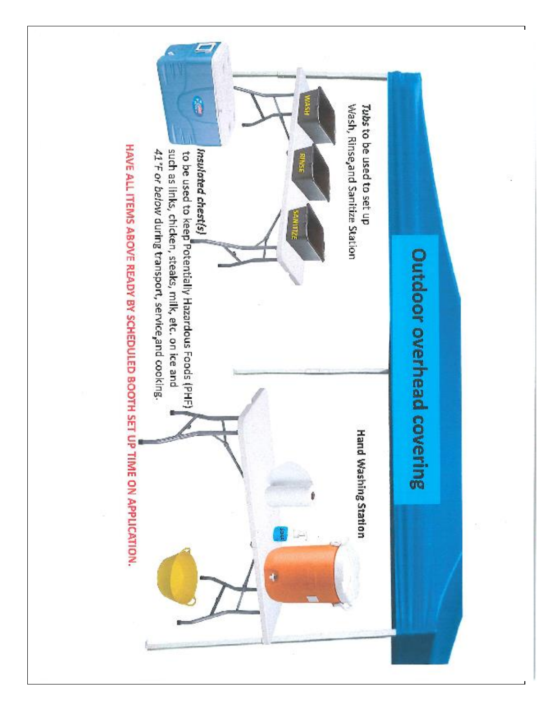